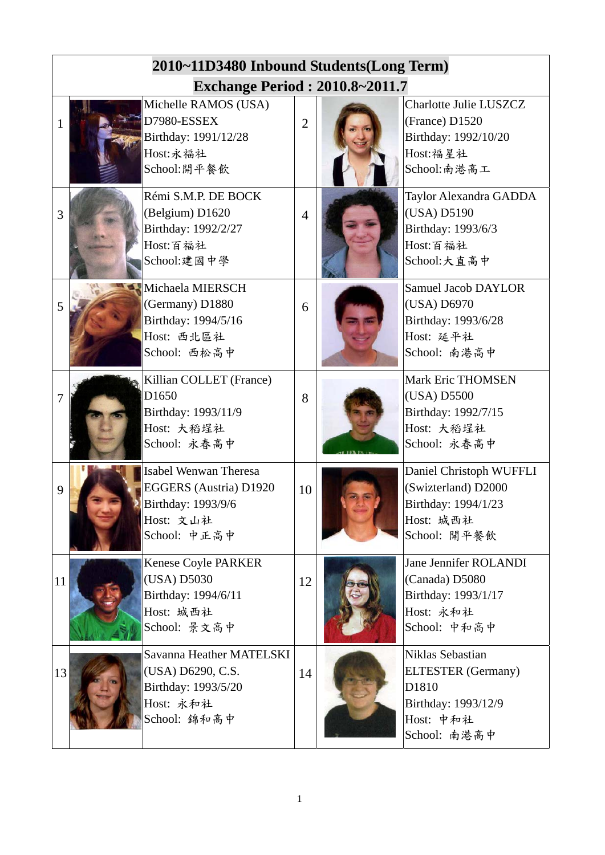|              | 2010~11D3480 Inbound Students(Long Term) |                                                                                                           |                |  |                                                                                                            |  |  |  |
|--------------|------------------------------------------|-----------------------------------------------------------------------------------------------------------|----------------|--|------------------------------------------------------------------------------------------------------------|--|--|--|
|              | <b>Exchange Period: 2010.8~2011.7</b>    |                                                                                                           |                |  |                                                                                                            |  |  |  |
| $\mathbf{1}$ |                                          | Michelle RAMOS (USA)<br>D7980-ESSEX<br>Birthday: 1991/12/28<br>Host:永福社<br>School:開平餐飲                    | $\overline{2}$ |  | <b>Charlotte Julie LUSZCZ</b><br>(France) D1520<br>Birthday: 1992/10/20<br>Host:福星社<br>School:南港高工         |  |  |  |
| 3            |                                          | Rémi S.M.P. DE BOCK<br>(Belgium) D1620<br>Birthday: 1992/2/27<br>Host:百福社<br>School:建國中學                  | $\overline{4}$ |  | Taylor Alexandra GADDA<br>(USA) D5190<br>Birthday: 1993/6/3<br>Host:百福社<br>School:大直高中                     |  |  |  |
| 5            |                                          | Michaela MIERSCH<br>(Germany) D1880<br>Birthday: 1994/5/16<br>Host: 西北區社<br>School: 西松高中                  | 6              |  | <b>Samuel Jacob DAYLOR</b><br>(USA) D6970<br>Birthday: 1993/6/28<br>Host: 延平社<br>School: 南港高中              |  |  |  |
| 7            |                                          | Killian COLLET (France)<br>D1650<br>Birthday: 1993/11/9<br>Host: 大稻埕社<br>School: 永春高中                     | 8              |  | <b>Mark Eric THOMSEN</b><br>(USA) D5500<br>Birthday: 1992/7/15<br>Host: 大稻埕社<br>School: 永春高中               |  |  |  |
| 9            |                                          | Isabel Wenwan Theresa<br><b>EGGERS</b> (Austria) D1920<br>Birthday: 1993/9/6<br>Host: 文山社<br>School: 中正高中 | 10             |  | Daniel Christoph WUFFLI<br>(Swizterland) D2000<br>Birthday: 1994/1/23<br>Host: 城西社<br>School: 開平餐飲         |  |  |  |
| 11           |                                          | Kenese Coyle PARKER<br>(USA) D5030<br>Birthday: 1994/6/11<br>Host: 城西社<br>School: 景文高中                    | 12             |  | Jane Jennifer ROLANDI<br>(Canada) D5080<br>Birthday: 1993/1/17<br>Host: 永和社<br>School: 中和高中                |  |  |  |
| 13           |                                          | Savanna Heather MATELSKI<br>(USA) D6290, C.S.<br>Birthday: 1993/5/20<br>Host: 永和社<br>School: 錦和高中         | 14             |  | Niklas Sebastian<br><b>ELTESTER</b> (Germany)<br>D1810<br>Birthday: 1993/12/9<br>Host: 中和社<br>School: 南港高中 |  |  |  |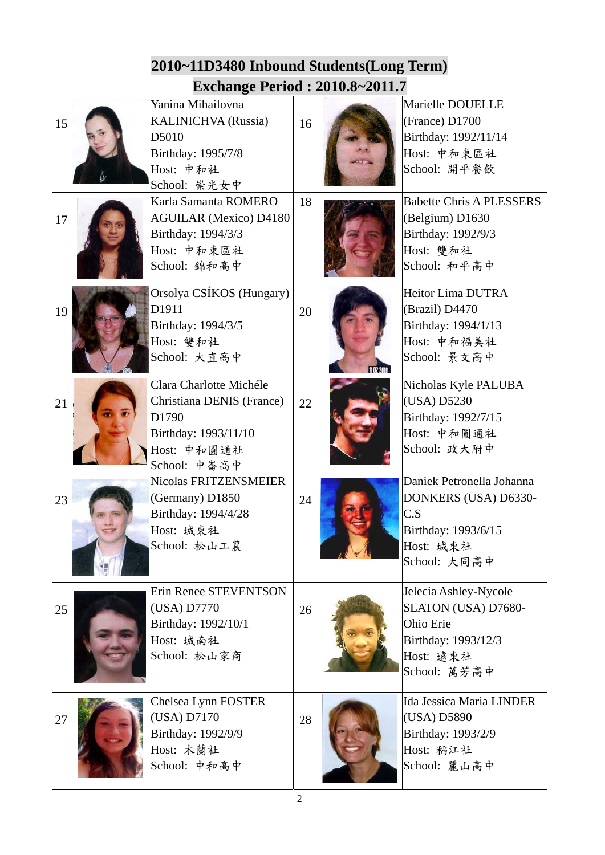|    | 2010~11D3480 Inbound Students(Long Term) |                                                                                                                      |    |  |                                                                                                               |  |  |  |
|----|------------------------------------------|----------------------------------------------------------------------------------------------------------------------|----|--|---------------------------------------------------------------------------------------------------------------|--|--|--|
|    | <b>Exchange Period: 2010.8~2011.7</b>    |                                                                                                                      |    |  |                                                                                                               |  |  |  |
| 15 |                                          | Yanina Mihailovna<br><b>KALINICHVA</b> (Russia)<br>D5010<br>Birthday: 1995/7/8<br>Host: 中和社<br>School: 崇光女中          | 16 |  | Marielle DOUELLE<br>(France) D1700<br>Birthday: 1992/11/14<br>Host: 中和東區社<br>School: 開平餐飲                     |  |  |  |
| 17 |                                          | Karla Samanta ROMERO<br><b>AGUILAR (Mexico) D4180</b><br>Birthday: 1994/3/3<br>Host: 中和東區社<br>School: 錦和高中           | 18 |  | <b>Babette Chris A PLESSERS</b><br>(Belgium) D1630<br>Birthday: 1992/9/3<br>Host: 雙和社<br>School: 和平高中         |  |  |  |
| 19 |                                          | Orsolya CSÍKOS (Hungary)<br>D1911<br>Birthday: 1994/3/5<br>Host: 雙和社<br>School: 大直高中                                 | 20 |  | <b>Heitor Lima DUTRA</b><br>(Brazil) D4470<br>Birthday: 1994/1/13<br>Host: 中和福美社<br>School: 景文高中              |  |  |  |
| 21 |                                          | Clara Charlotte Michéle<br>Christiana DENIS (France)<br>D1790<br>Birthday: 1993/11/10<br>Host: 中和圓通社<br>School: 中崙高中 | 22 |  | Nicholas Kyle PALUBA<br>(USA) D5230<br>Birthday: 1992/7/15<br>Host: 中和圓通社<br>School: 政大附中                     |  |  |  |
| 23 |                                          | Nicolas FRITZENSMEIER<br>(Germany) D1850<br>Birthday: 1994/4/28<br>Host: 城東社<br>School: 松山工農                         | 24 |  | Daniek Petronella Johanna<br>DONKERS (USA) D6330-<br>C.S<br>Birthday: 1993/6/15<br>Host: 城東社<br>School: 大同高中  |  |  |  |
| 25 |                                          | Erin Renee STEVENTSON<br>(USA) D7770<br>Birthday: 1992/10/1<br>Host: 城南社<br>School: 松山家商                             | 26 |  | Jelecia Ashley-Nycole<br>SLATON (USA) D7680-<br>Ohio Erie<br>Birthday: 1993/12/3<br>Host: 遠東社<br>School: 萬芳高中 |  |  |  |
| 27 |                                          | Chelsea Lynn FOSTER<br>(USA) D7170<br>Birthday: 1992/9/9<br>Host: 木蘭社<br>School: 中和高中                                | 28 |  | Ida Jessica Maria LINDER<br>(USA) D5890<br>Birthday: 1993/2/9<br>Host: 稻江社<br>School: 麗山高中                    |  |  |  |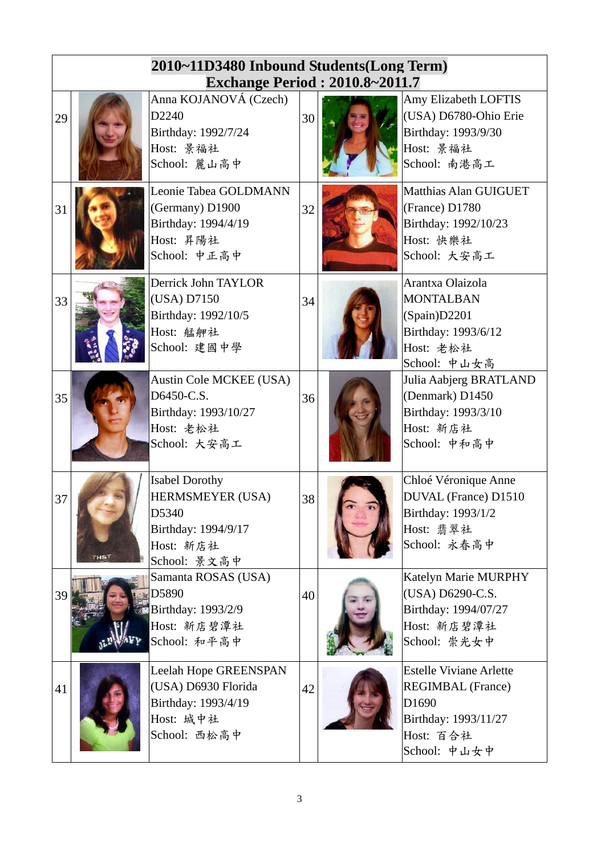|    | 2010~11D3480 Inbound Students(Long Term) |                                                                                                                             |    |  |                                                                                                                          |  |  |  |
|----|------------------------------------------|-----------------------------------------------------------------------------------------------------------------------------|----|--|--------------------------------------------------------------------------------------------------------------------------|--|--|--|
| 29 |                                          | <b>Exchange Period: 2010.8~2011.7</b><br>Anna KOJANOVÁ (Czech)<br>D2240<br>Birthday: 1992/7/24<br>Host: 景福社<br>School: 麗山高中 | 30 |  | Amy Elizabeth LOFTIS<br>(USA) D6780-Ohio Erie<br>Birthday: 1993/9/30<br>Host: 景福社<br>School: 南港高工                        |  |  |  |
| 31 |                                          | Leonie Tabea GOLDMANN<br>(Germany) D1900<br>Birthday: 1994/4/19<br>Host: 昇陽社<br>School: 中正高中                                | 32 |  | Matthias Alan GUIGUET<br>(France) D1780<br>Birthday: 1992/10/23<br>Host: 快樂社<br>School: 大安高工                             |  |  |  |
| 33 |                                          | Derrick John TAYLOR<br>(USA) D7150<br>Birthday: 1992/10/5<br>Host: 艋舺社<br>School: 建國中學                                      | 34 |  | Arantxa Olaizola<br><b>MONTALBAN</b><br>(Spain)D2201<br>Birthday: 1993/6/12<br>Host: 老松社<br>School: 中山女高                 |  |  |  |
| 35 |                                          | Austin Cole MCKEE (USA)<br>D6450-C.S.<br>Birthday: 1993/10/27<br>Host: 老松社<br>School: 大安高工                                  | 36 |  | Julia Aabjerg BRATLAND<br>(Denmark) D1450<br>Birthday: 1993/3/10<br>Host: 新店社<br>School: 中和高中                            |  |  |  |
| 37 | THS <sup>1</sup>                         | <b>Isabel Dorothy</b><br>HERMSMEYER (USA)<br>D5340<br>Birthday: 1994/9/17<br>Host: 新店社<br>School: 景文高中                      | 38 |  | Chloé Véronique Anne<br>DUVAL (France) D1510<br>Birthday: 1993/1/2<br>Host: 翡翠社<br>School: 永春高中                          |  |  |  |
| 39 |                                          | Samanta ROSAS (USA)<br>D5890<br>Birthday: 1993/2/9<br>Host: 新店碧潭社<br>School: 和平高中                                           | 40 |  | Katelyn Marie MURPHY<br>(USA) D6290-C.S.<br>Birthday: 1994/07/27<br>Host: 新店碧潭社<br>School: 崇光女中                          |  |  |  |
| 41 |                                          | Leelah Hope GREENSPAN<br>(USA) D6930 Florida<br>Birthday: 1993/4/19<br>Host: 城中社<br>School: 西松高中                            | 42 |  | <b>Estelle Viviane Arlette</b><br><b>REGIMBAL</b> (France)<br>D1690<br>Birthday: 1993/11/27<br>Host: 百合社<br>School: 中山女中 |  |  |  |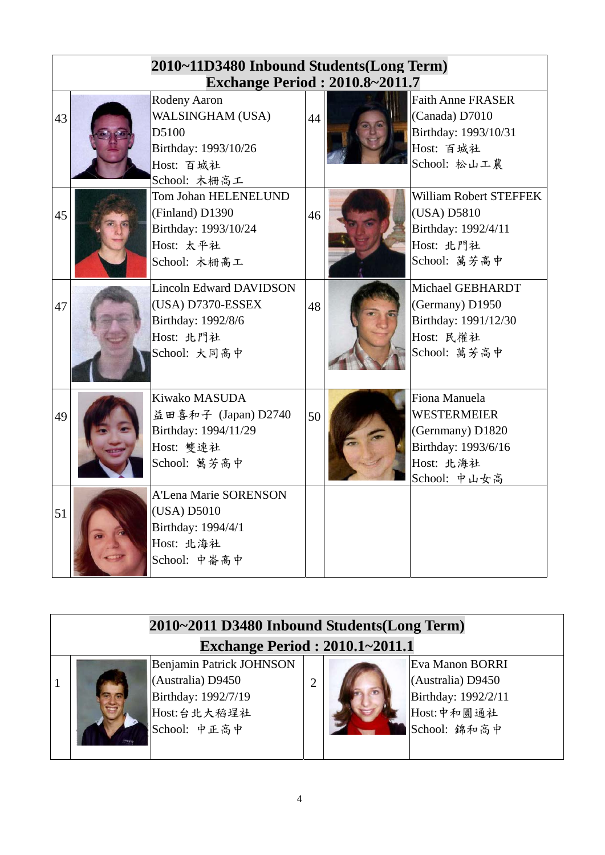|    | 2010~11D3480 Inbound Students(Long Term)<br><b>Exchange Period: 2010.8~2011.7</b>                      |    |                                                                                                             |
|----|--------------------------------------------------------------------------------------------------------|----|-------------------------------------------------------------------------------------------------------------|
| 43 | Rodeny Aaron<br>WALSINGHAM (USA)<br>D5100<br>Birthday: 1993/10/26<br>Host: 百城社<br>School: 木柵高工         | 44 | <b>Faith Anne FRASER</b><br>(Canada) D7010<br>Birthday: 1993/10/31<br>Host: 百城社<br>School: 松山工農             |
| 45 | <b>Tom Johan HELENELUND</b><br>(Finland) D1390<br>Birthday: 1993/10/24<br>Host: 太平社<br>School: 木柵高工    | 46 | William Robert STEFFEK<br>(USA) D5810<br>Birthday: 1992/4/11<br>Host: 北門社<br>School: 萬芳高中                   |
| 47 | <b>Lincoln Edward DAVIDSON</b><br>(USA) D7370-ESSEX<br>Birthday: 1992/8/6<br>Host: 北門社<br>School: 大同高中 | 48 | Michael GEBHARDT<br>(Germany) D1950<br>Birthday: 1991/12/30<br>Host: 民權社<br>School: 萬芳高中                    |
| 49 | Kiwako MASUDA<br>益田喜和子 (Japan) D2740<br>Birthday: 1994/11/29<br>Host: 雙連社<br>School: 萬芳高中              | 50 | Fiona Manuela<br><b>WESTERMEIER</b><br>(Gernmany) D1820<br>Birthday: 1993/6/16<br>Host: 北海社<br>School: 中山女高 |
| 51 | <b>A'Lena Marie SORENSON</b><br>(USA) D5010<br>Birthday: 1994/4/1<br>Host: 北海社<br>School: 中崙高中         |    |                                                                                                             |

| 2010~2011 D3480 Inbound Students(Long Term) |                                 |                |  |                     |  |  |  |  |
|---------------------------------------------|---------------------------------|----------------|--|---------------------|--|--|--|--|
| <b>Exchange Period : 2010.1~2011.1</b>      |                                 |                |  |                     |  |  |  |  |
|                                             | <b>Benjamin Patrick JOHNSON</b> |                |  | Eva Manon BORRI     |  |  |  |  |
|                                             | (Australia) D9450               | $\overline{2}$ |  | (Australia) D9450   |  |  |  |  |
|                                             | Birthday: 1992/7/19             |                |  | Birthday: 1992/2/11 |  |  |  |  |
|                                             | Host:台北大稻埕社                     |                |  | Host:中和圓通社          |  |  |  |  |
|                                             | School: 中正高中                    |                |  | School: 錦和高中        |  |  |  |  |
|                                             |                                 |                |  |                     |  |  |  |  |
|                                             |                                 |                |  |                     |  |  |  |  |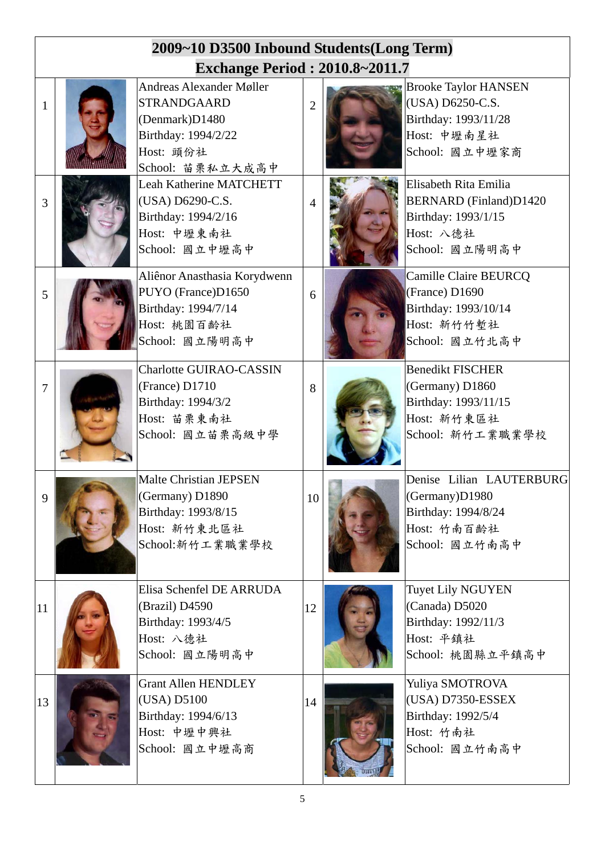|                | 2009~10 D3500 Inbound Students(Long Term) |                                                                                                                                 |                |  |                                                                                                              |  |  |  |
|----------------|-------------------------------------------|---------------------------------------------------------------------------------------------------------------------------------|----------------|--|--------------------------------------------------------------------------------------------------------------|--|--|--|
|                | <b>Exchange Period: 2010.8~2011.7</b>     |                                                                                                                                 |                |  |                                                                                                              |  |  |  |
| 1              |                                           | <b>Andreas Alexander Møller</b><br><b>STRANDGAARD</b><br>(Denmark)D1480<br>Birthday: 1994/2/22<br>Host: 頭份社<br>School: 苗栗私立大成高中 | $\overline{2}$ |  | <b>Brooke Taylor HANSEN</b><br>(USA) D6250-C.S.<br>Birthday: 1993/11/28<br>Host: 中壢南星社<br>School: 國立中壢家商     |  |  |  |
| 3              |                                           | <b>Leah Katherine MATCHETT</b><br>(USA) D6290-C.S.<br>Birthday: 1994/2/16<br>Host: 中壢東南社<br>School: 國立中壢高中                      |                |  | Elisabeth Rita Emilia<br><b>BERNARD</b> (Finland)D1420<br>Birthday: 1993/1/15<br>Host: 八德社<br>School: 國立陽明高中 |  |  |  |
| 5              |                                           | Aliênor Anasthasia Korydwenn<br>PUYO (France)D1650<br>Birthday: 1994/7/14<br>Host: 桃園百齡社<br>School: 國立陽明高中                      | 6              |  | Camille Claire BEURCQ<br>(France) D1690<br>Birthday: 1993/10/14<br>Host: 新竹竹塹社<br>School: 國立竹北高中             |  |  |  |
| $\overline{7}$ |                                           | <b>Charlotte GUIRAO-CASSIN</b><br>(France) D1710<br>Birthday: 1994/3/2<br>Host: 苗栗東南社<br>School: 國立苗栗高級中學                       | 8              |  | <b>Benedikt FISCHER</b><br>(Germany) D1860<br>Birthday: 1993/11/15<br>Host: 新竹東區社<br>School: 新竹工業職業學校        |  |  |  |
| 9              |                                           | <b>Malte Christian JEPSEN</b><br>(Germany) D1890<br>Birthday: 1993/8/15<br>Host: 新竹東北區社<br>School:新竹工業職業學校                      | 10             |  | Denise Lilian LAUTERBURG<br>(Germany)D1980<br>Birthday: 1994/8/24<br>Host: 竹南百齡社<br>School: 國立竹南高中           |  |  |  |
| 11             |                                           | Elisa Schenfel DE ARRUDA<br>(Brazil) D4590<br>Birthday: 1993/4/5<br>Host: 八德社<br>School: 國立陽明高中                                 | 12             |  | <b>Tuyet Lily NGUYEN</b><br>(Canada) D5020<br>Birthday: 1992/11/3<br>Host: 平鎮社<br>School: 桃園縣立平鎮高中           |  |  |  |
| 13             |                                           | <b>Grant Allen HENDLEY</b><br>(USA) D5100<br>Birthday: 1994/6/13<br>Host: 中壢中興社<br>School: 國立中壢高商                               | 14             |  | Yuliya SMOTROVA<br>(USA) D7350-ESSEX<br>Birthday: 1992/5/4<br>Host: 竹南社<br>School: 國立竹南高中                    |  |  |  |